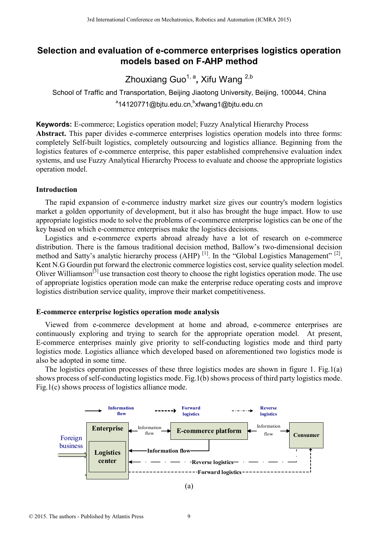# **Selection and evaluation of e-commerce enterprises logistics operation models based on F-AHP method**

Zhouxiang Guo<sup>1, a</sup>, Xifu Wang <sup>2,b</sup>

School of Traffic and Transportation, Beijing Jiaotong University, Beijing, 100044, China <sup>a</sup>14120771@bjtu.edu.cn,<sup>b</sup>xfwang1@bjtu.edu.cn

**Keywords:** E-commerce; Logistics operation model; Fuzzy Analytical Hierarchy Process **Abstract.** This paper divides e-commerce enterprises logistics operation models into three forms: completely Self-built logistics, completely outsourcing and logistics alliance. Beginning from the logistics features of e-commerce enterprise, this paper established comprehensive evaluation index systems, and use Fuzzy Analytical Hierarchy Process to evaluate and choose the appropriate logistics operation model.

## **Introduction**

The rapid expansion of e-commerce industry market size gives our country's modern logistics market a golden opportunity of development, but it also has brought the huge impact. How to use appropriate logistics mode to solve the problems of e-commerce enterprise logistics can be one of the key based on which e-commerce enterprises make the logistics decisions.

Logistics and e-commerce experts abroad already have a lot of research on e-commerce distribution. There is the famous traditional decision method, Ballow's two-dimensional decision method and Satty's analytic hierarchy process (AHP)<sup>[1]</sup>. In the "Global Logistics Management"<sup>[2]</sup>, Kent N.G Gourdin put forward the electronic commerce logistics cost, service quality selection model. Oliver Williamson<sup>[3]</sup> use transaction cost theory to choose the right logistics operation mode. The use of appropriate logistics operation mode can make the enterprise reduce operating costs and improve logistics distribution service quality, improve their market competitiveness.

### **E-commerce enterprise logistics operation mode analysis**

Viewed from e-commerce development at home and abroad, e-commerce enterprises are continuously exploring and trying to search for the appropriate operation model. At present, E-commerce enterprises mainly give priority to self-conducting logistics mode and third party logistics mode. Logistics alliance which developed based on aforementioned two logistics mode is also be adopted in some time.

The logistics operation processes of these three logistics modes are shown in figure 1. Fig.1(a) shows process of self-conducting logistics mode. Fig.1(b) shows process of third party logistics mode. Fig.1(c) shows process of logistics alliance mode.

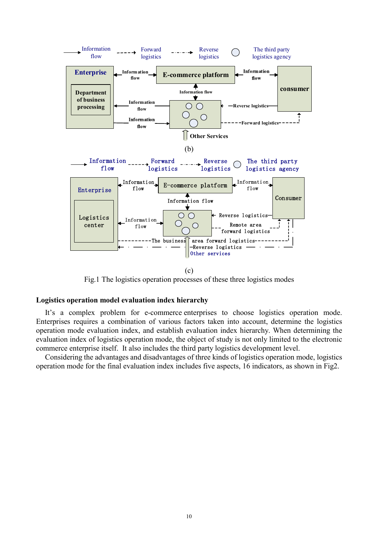

(c)

Fig.1 The logistics operation processes of these three logistics modes

#### **Logistics operation model evaluation index hierarchy**

It's a complex problem for e-commerce enterprises to choose logistics operation mode. Enterprises requires a combination of various factors taken into account, determine the logistics operation mode evaluation index, and establish evaluation index hierarchy. When determining the evaluation index of logistics operation mode, the object of study is not only limited to the electronic commerce enterprise itself. It also includes the third party logistics development level.

Considering the advantages and disadvantages of three kinds of logistics operation mode, logistics operation mode for the final evaluation index includes five aspects, 16 indicators, as shown in Fig2.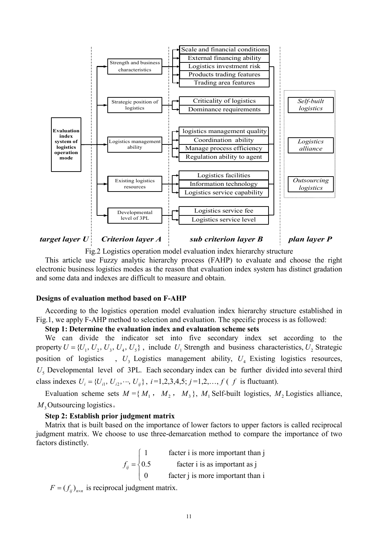

*target layer U Criterion layer A* sub criterion *layer B plan layer P* 

Fig.2 Logistics operation model evaluation index hierarchy structure This article use Fuzzy analytic hierarchy process (FAHP) to evaluate and choose the right electronic business logistics modes as the reason that evaluation index system has distinct gradation and some data and indexes are difficult to measure and obtain.

## **Designs of evaluation method based on F-AHP**

According to the logistics operation model evaluation index hierarchy structure established in Fig.1, we apply F-AHP method to selection and evaluation. The specific process is as followed:

### **Step 1: Determine the evaluation index and evaluation scheme sets**

We can divide the indicator set into five secondary index set according to the property  $U = \{U_1, U_2, U_3, U_4, U_5\}$ , include  $U_1$  Strength and business characteristics,  $U_2$  Strategic position of logistics ,  $U_3$  Logistics management ability,  $U_4$  Existing logistics resources,  $U<sub>5</sub>$  Developmental level of 3PL. Each secondary index can be further divided into several third class indexes  $U_i = \{U_{i1}, U_{i2}, \dots, U_{i j}\}, i=1,2,3,4,5; j=1,2,\dots, f$  (*f* is fluctuant).

Evaluation scheme sets  $M = \{M_1, M_2, M_3\}$ ,  $M_1$  Self-built logistics,  $M_2$  Logistics alliance, *M*<sub>3</sub> Outsourcing logistics.

## **Step 2: Establish prior judgment matrix**

Matrix that is built based on the importance of lower factors to upper factors is called reciprocal judgment matrix. We choose to use three-demarcation method to compare the importance of two factors distinctly.

> facter i is more important than j 0.5 facter i is as important as j 0 facter j is more important than i  $f_{ij}$  $\left($  $=\left\{$  $\overline{\mathcal{L}}$

 $F = (f_{ij})_{n \times n}$  is reciprocal judgment matrix.